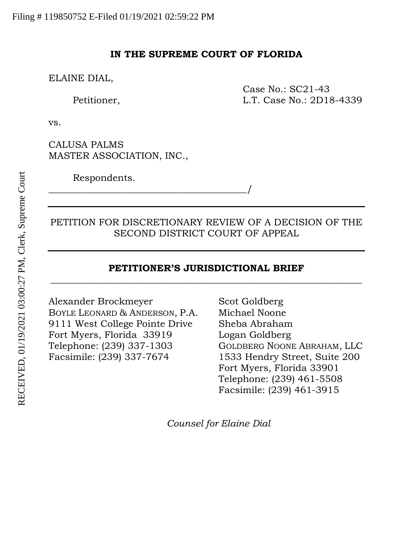### **IN THE SUPREME COURT OF FLORIDA**

ELAINE DIAL,

Case No.: SC21-43 Petitioner, L.T. Case No.: 2D18-4339

vs.

CALUSA PALMS MASTER ASSOCIATION, INC.,

\_\_\_\_\_\_\_\_\_\_\_\_\_\_\_\_\_\_\_\_\_\_\_\_\_\_\_\_\_\_\_\_\_\_\_\_\_\_\_\_\_\_/

Respondents.

## PETITION FOR DISCRETIONARY REVIEW OF A DECISION OF THE SECOND DISTRICT COURT OF APPEAL

## **PETITIONER'S JURISDICTIONAL BRIEF \_\_\_\_\_\_\_\_\_\_\_\_\_\_\_\_\_\_\_\_\_\_\_\_\_\_\_\_\_\_\_\_\_\_\_\_\_\_\_\_\_\_\_\_\_\_\_\_\_\_\_\_\_\_\_\_\_\_\_\_\_\_\_\_\_\_**

Alexander Brockmeyer Scot Goldberg BOYLE LEONARD & ANDERSON, P.A. Michael Noone 9111 West College Pointe Drive Sheba Abraham Fort Myers, Florida 33919 Logan Goldberg Telephone: (239) 337-1303 GOLDBERG NOONE ABRAHAM, LLC Facsimile: (239) 337-7674 1533 Hendry Street, Suite 200

Fort Myers, Florida 33901 Telephone: (239) 461-5508 Facsimile: (239) 461-3915

*Counsel for Elaine Dial*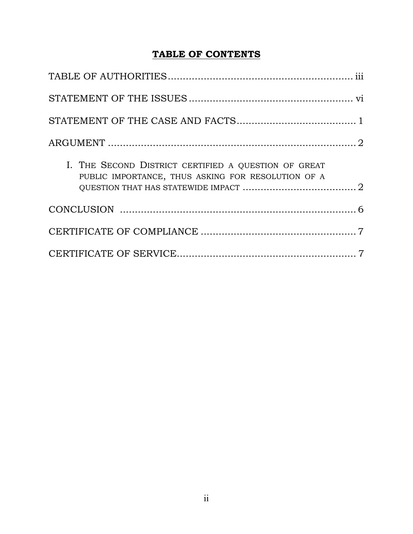# **TABLE OF CONTENTS**

| I. THE SECOND DISTRICT CERTIFIED A QUESTION OF GREAT<br>PUBLIC IMPORTANCE, THUS ASKING FOR RESOLUTION OF A |  |
|------------------------------------------------------------------------------------------------------------|--|
|                                                                                                            |  |
|                                                                                                            |  |
|                                                                                                            |  |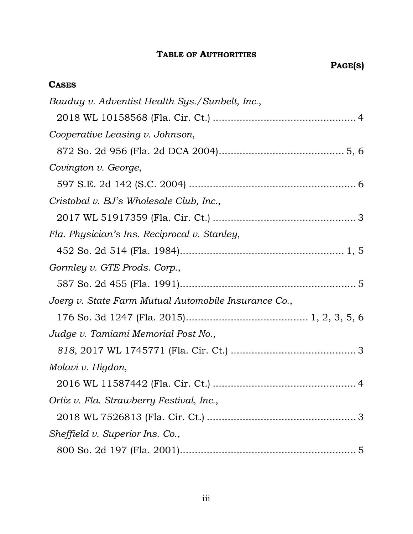## **TABLE OF AUTHORITIES**

# **CASES**

| Bauduy v. Adventist Health Sys./Sunbelt, Inc.,       |
|------------------------------------------------------|
|                                                      |
| Cooperative Leasing v. Johnson,                      |
|                                                      |
| Covington v. George,                                 |
|                                                      |
| Cristobal v. BJ's Wholesale Club, Inc.,              |
|                                                      |
| Fla. Physician's Ins. Reciprocal v. Stanley,         |
|                                                      |
| Gormley v. GTE Prods. Corp.,                         |
|                                                      |
| Joerg v. State Farm Mutual Automobile Insurance Co., |
|                                                      |
| Judge v. Tamiami Memorial Post No.,                  |
|                                                      |
| Molavi v. Higdon,                                    |
|                                                      |
| Ortiz v. Fla. Strawberry Festival, Inc.,             |
|                                                      |
| Sheffield v. Superior Ins. Co.,                      |
|                                                      |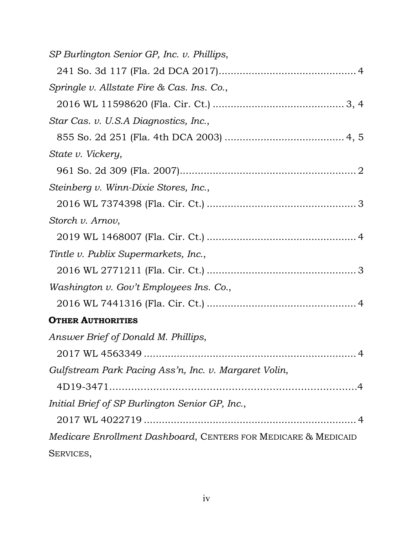| SP Burlington Senior GP, Inc. v. Phillips,                     |
|----------------------------------------------------------------|
|                                                                |
| Springle v. Allstate Fire & Cas. Ins. Co.,                     |
|                                                                |
| Star Cas. v. U.S.A Diagnostics, Inc.,                          |
|                                                                |
| State v. Vickery,                                              |
|                                                                |
| Steinberg v. Winn-Dixie Stores, Inc.,                          |
|                                                                |
| Storch v. Arnov,                                               |
|                                                                |
| Tintle v. Publix Supermarkets, Inc.,                           |
|                                                                |
| Washington v. Gov't Employees Ins. Co.,                        |
|                                                                |
| <b>OTHER AUTHORITIES</b>                                       |
| Answer Brief of Donald M. Phillips,                            |
|                                                                |
| Gulfstream Park Pacing Ass'n, Inc. v. Margaret Volin,          |
|                                                                |
| Initial Brief of SP Burlington Senior GP, Inc.,                |
|                                                                |
| Medicare Enrollment Dashboard, CENTERS FOR MEDICARE & MEDICAID |
| SERVICES,                                                      |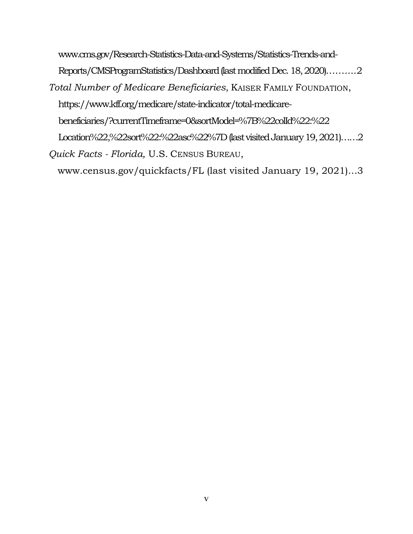www.cms.gov/Research-Statistics-Data-and-Systems/Statistics-Trends-and-Reports/CMSProgramStatistics/Dashboard (last modified Dec. 18, 2020)……....2 *Total Number of Medicare Beneficiaries*, KAISER FAMILY FOUNDATION, https://www.kff.org/medicare/state-indicator/total-medicarebeneficiaries/?currentTimeframe=0&sortModel=%7B%22colId%22:%22 Location%22,%22sort%22:%22asc%22%7D (last visited January 19, 2021)……2 *Quick Facts - Florida,* U.S. CENSUS BUREAU,

www.census.gov/quickfacts/FL (last visited January 19, 2021)…3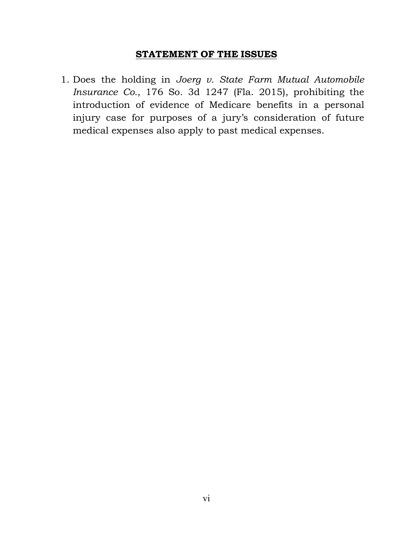### **STATEMENT OF THE ISSUES**

1. Does the holding in *Joerg v. State Farm Mutual Automobile Insurance Co.*, 176 So. 3d 1247 (Fla. 2015), prohibiting the introduction of evidence of Medicare benefits in a personal injury case for purposes of a jury's consideration of future medical expenses also apply to past medical expenses.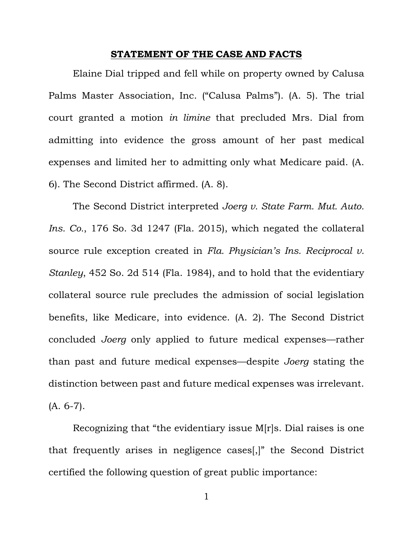#### **STATEMENT OF THE CASE AND FACTS**

Elaine Dial tripped and fell while on property owned by Calusa Palms Master Association, Inc. ("Calusa Palms"). (A. 5). The trial court granted a motion *in limine* that precluded Mrs. Dial from admitting into evidence the gross amount of her past medical expenses and limited her to admitting only what Medicare paid. (A. 6). The Second District affirmed. (A. 8).

The Second District interpreted *Joerg v. State Farm. Mut. Auto. Ins. Co.*, 176 So. 3d 1247 (Fla. 2015), which negated the collateral source rule exception created in *Fla. Physician's Ins. Reciprocal v. Stanley*, 452 So. 2d 514 (Fla. 1984), and to hold that the evidentiary collateral source rule precludes the admission of social legislation benefits, like Medicare, into evidence. (A. 2). The Second District concluded *Joerg* only applied to future medical expenses—rather than past and future medical expenses—despite *Joerg* stating the distinction between past and future medical expenses was irrelevant. (A. 6-7).

Recognizing that "the evidentiary issue M[r]s. Dial raises is one that frequently arises in negligence cases[,]" the Second District certified the following question of great public importance:

1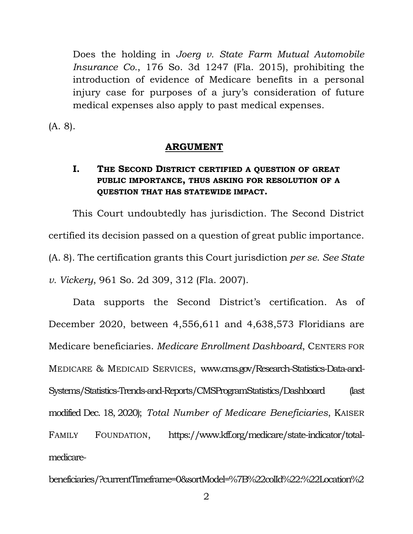Does the holding in *Joerg v. State Farm Mutual Automobile Insurance Co.*, 176 So. 3d 1247 (Fla. 2015), prohibiting the introduction of evidence of Medicare benefits in a personal injury case for purposes of a jury's consideration of future medical expenses also apply to past medical expenses.

(A. 8).

### **ARGUMENT**

### **I. THE SECOND DISTRICT CERTIFIED A QUESTION OF GREAT PUBLIC IMPORTANCE, THUS ASKING FOR RESOLUTION OF A QUESTION THAT HAS STATEWIDE IMPACT.**

This Court undoubtedly has jurisdiction. The Second District certified its decision passed on a question of great public importance. (A. 8). The certification grants this Court jurisdiction *per se*. *See State v. Vickery*, 961 So. 2d 309, 312 (Fla. 2007).

Data supports the Second District's certification. As of December 2020, between 4,556,611 and 4,638,573 Floridians are Medicare beneficiaries. *Medicare Enrollment Dashboard*, CENTERS FOR MEDICARE & MEDICAID SERVICES, www.cms.gov/Research-Statistics-Data-and-Systems/Statistics-Trends-and-Reports/CMSProgramStatistics/Dashboard (last modified Dec. 18, 2020); *Total Number of Medicare Beneficiaries*, KAISER FAMILY FOUNDATION, https://www.kff.org/medicare/state-indicator/totalmedicare-

beneficiaries/?currentTimeframe=0&sortModel=%7B%22colId%22:%22Location%2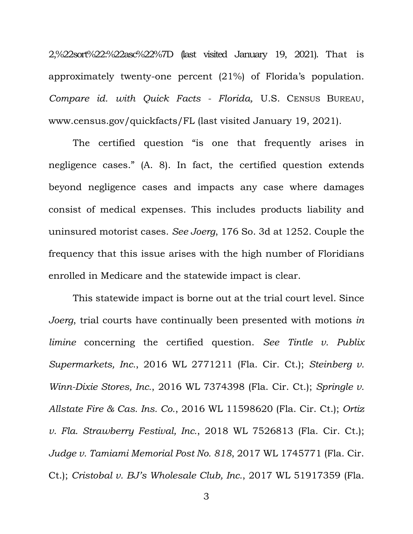2,%22sort%22:%22asc%22%7D (last visited January 19, 2021). That is approximately twenty-one percent (21%) of Florida's population. *Compare id. with Quick Facts - Florida,* U.S. CENSUS BUREAU, www.census.gov/quickfacts/FL (last visited January 19, 2021).

The certified question "is one that frequently arises in negligence cases." (A. 8). In fact, the certified question extends beyond negligence cases and impacts any case where damages consist of medical expenses. This includes products liability and uninsured motorist cases. *See Joerg*, 176 So. 3d at 1252. Couple the frequency that this issue arises with the high number of Floridians enrolled in Medicare and the statewide impact is clear.

This statewide impact is borne out at the trial court level. Since *Joerg*, trial courts have continually been presented with motions *in limine* concerning the certified question. *See Tintle v. Publix Supermarkets, Inc.*, 2016 WL 2771211 (Fla. Cir. Ct.); *Steinberg v. Winn-Dixie Stores, Inc.*, 2016 WL 7374398 (Fla. Cir. Ct.); *Springle v. Allstate Fire & Cas. Ins. Co.*, 2016 WL 11598620 (Fla. Cir. Ct.); *Ortiz v. Fla. Strawberry Festival, Inc.*, 2018 WL 7526813 (Fla. Cir. Ct.); *Judge v. Tamiami Memorial Post No. 818*, 2017 WL 1745771 (Fla. Cir. Ct.); *Cristobal v. BJ's Wholesale Club, Inc.*, 2017 WL 51917359 (Fla.

3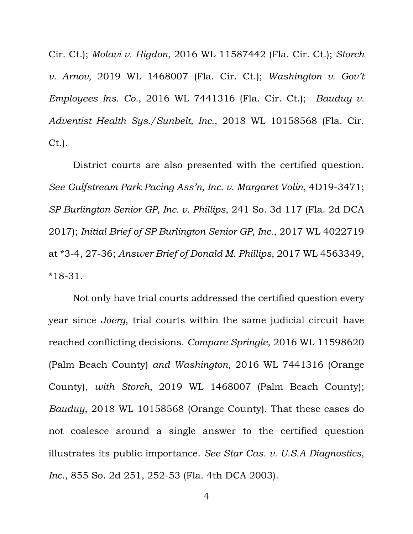Cir. Ct.); *Molavi v. Higdon*, 2016 WL 11587442 (Fla. Cir. Ct.); *Storch v. Arnov*, 2019 WL 1468007 (Fla. Cir. Ct.); *Washington v. Gov't Employees Ins. Co.*, 2016 WL 7441316 (Fla. Cir. Ct.); *Bauduy v. Adventist Health Sys./Sunbelt, Inc.*, 2018 WL 10158568 (Fla. Cir. Ct.).

District courts are also presented with the certified question. *See Gulfstream Park Pacing Ass'n, Inc. v. Margaret Volin*, 4D19-3471; *SP Burlington Senior GP, Inc. v. Phillips*, 241 So. 3d 117 (Fla. 2d DCA 2017); *Initial Brief of SP Burlington Senior GP, Inc.*, 2017 WL 4022719 at \*3-4, 27-36; *Answer Brief of Donald M. Phillips*, 2017 WL 4563349, \*18-31.

Not only have trial courts addressed the certified question every year since *Joerg*, trial courts within the same judicial circuit have reached conflicting decisions. *Compare Springle*, 2016 WL 11598620 (Palm Beach County) *and Washington*, 2016 WL 7441316 (Orange County), *with Storch*, 2019 WL 1468007 (Palm Beach County); *Bauduy*, 2018 WL 10158568 (Orange County). That these cases do not coalesce around a single answer to the certified question illustrates its public importance. *See Star Cas. v. U.S.A Diagnostics, Inc.*, 855 So. 2d 251, 252-53 (Fla. 4th DCA 2003).

4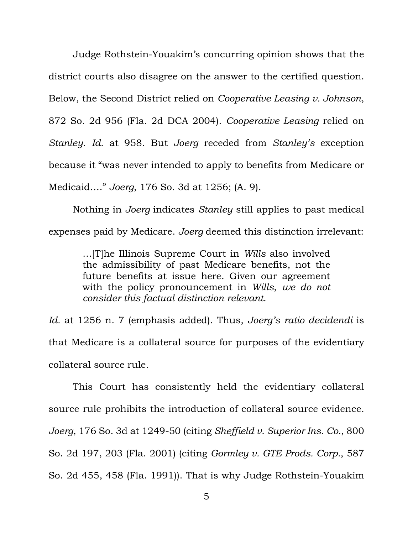Judge Rothstein-Youakim's concurring opinion shows that the district courts also disagree on the answer to the certified question. Below, the Second District relied on *Cooperative Leasing v. Johnson*, 872 So. 2d 956 (Fla. 2d DCA 2004). *Cooperative Leasing* relied on *Stanley*. *Id.* at 958. But *Joerg* receded from *Stanley's* exception because it "was never intended to apply to benefits from Medicare or Medicaid…." *Joerg*, 176 So. 3d at 1256; (A. 9).

Nothing in *Joerg* indicates *Stanley* still applies to past medical expenses paid by Medicare. *Joerg* deemed this distinction irrelevant:

> …[T]he Illinois Supreme Court in *Wills* also involved the admissibility of past Medicare benefits, not the future benefits at issue here. Given our agreement with the policy pronouncement in *Wills*, *we do not consider this factual distinction relevant*.

*Id.* at 1256 n. 7 (emphasis added). Thus, *Joerg's ratio decidendi* is that Medicare is a collateral source for purposes of the evidentiary collateral source rule.

This Court has consistently held the evidentiary collateral source rule prohibits the introduction of collateral source evidence. *Joerg*, 176 So. 3d at 1249-50 (citing *Sheffield v. Superior Ins. Co.*, 800 So. 2d 197, 203 (Fla. 2001) (citing *Gormley v. GTE Prods. Corp.*, 587 So. 2d 455, 458 (Fla. 1991)). That is why Judge Rothstein-Youakim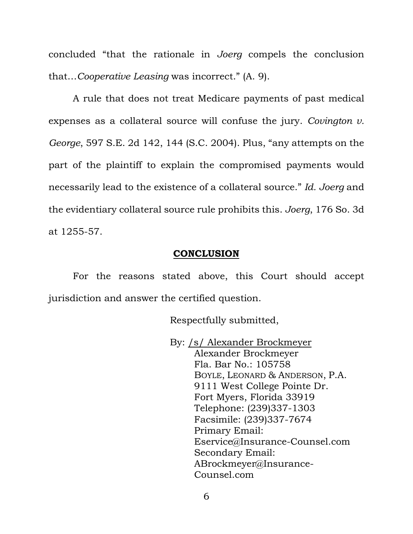concluded "that the rationale in *Joerg* compels the conclusion that…*Cooperative Leasing* was incorrect." (A. 9).

A rule that does not treat Medicare payments of past medical expenses as a collateral source will confuse the jury. *Covington v. George*, 597 S.E. 2d 142, 144 (S.C. 2004). Plus, "any attempts on the part of the plaintiff to explain the compromised payments would necessarily lead to the existence of a collateral source." *Id. Joerg* and the evidentiary collateral source rule prohibits this. *Joerg*, 176 So. 3d at 1255-57.

### **CONCLUSION**

For the reasons stated above, this Court should accept jurisdiction and answer the certified question.

Respectfully submitted,

By: /s/ Alexander Brockmeyer Alexander Brockmeyer Fla. Bar No.: 105758 BOYLE, LEONARD & ANDERSON, P.A. 9111 West College Pointe Dr. Fort Myers, Florida 33919 Telephone: (239)337-1303 Facsimile: (239)337-7674 Primary Email: Eservice@Insurance-Counsel.com Secondary Email: ABrockmeyer@Insurance-Counsel.com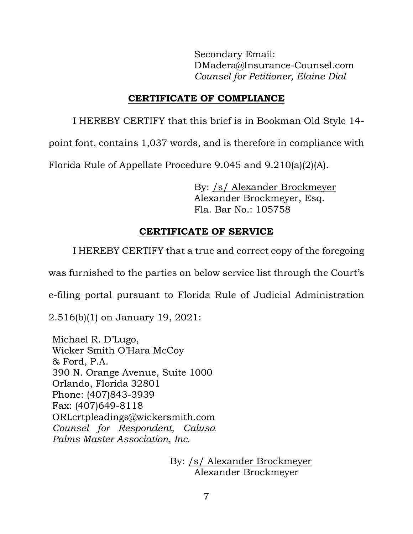Secondary Email: DMadera@Insurance-Counsel.com *Counsel for Petitioner, Elaine Dial*

## **CERTIFICATE OF COMPLIANCE**

I HEREBY CERTIFY that this brief is in Bookman Old Style 14-

point font, contains 1,037 words, and is therefore in compliance with

Florida Rule of Appellate Procedure 9.045 and 9.210(a)(2)(A).

By: /s/ Alexander Brockmeyer Alexander Brockmeyer, Esq. Fla. Bar No.: 105758

# **CERTIFICATE OF SERVICE**

I HEREBY CERTIFY that a true and correct copy of the foregoing

was furnished to the parties on below service list through the Court's

e-filing portal pursuant to Florida Rule of Judicial Administration

2.516(b)(1) on January 19, 2021:

Michael R. D'Lugo, Wicker Smith O'Hara McCoy & Ford, P.A. 390 N. Orange Avenue, Suite 1000 Orlando, Florida 32801 Phone: (407)843-3939 Fax: (407)649-8118 ORLcrtpleadings@wickersmith.com *Counsel for Respondent, Calusa Palms Master Association, Inc.*

> By: /s/ Alexander Brockmeyer Alexander Brockmeyer